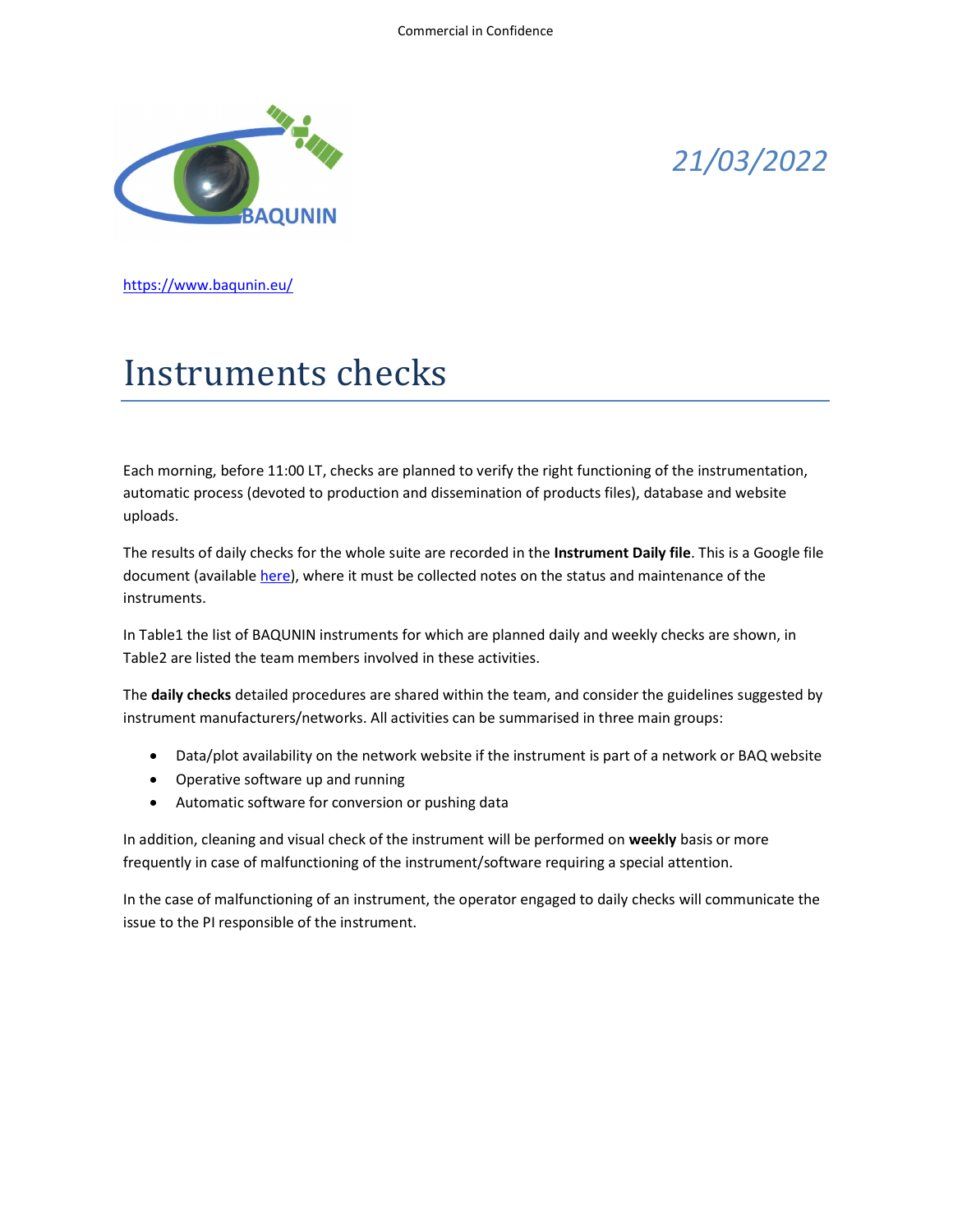

## 21/03/2022

https://www.baqunin.eu/

## Instruments checks

Each morning, before 11:00 LT, checks are planned to verify the right functioning of the instrumentation, automatic process (devoted to production and dissemination of products files), database and website uploads.

The results of daily checks for the whole suite are recorded in the Instrument Daily file. This is a Google file document (available here), where it must be collected notes on the status and maintenance of the instruments.

In Table1 the list of BAQUNIN instruments for which are planned daily and weekly checks are shown, in Table2 are listed the team members involved in these activities.

The daily checks detailed procedures are shared within the team, and consider the guidelines suggested by instrument manufacturers/networks. All activities can be summarised in three main groups:

- Data/plot availability on the network website if the instrument is part of a network or BAQ website
- Operative software up and running
- Automatic software for conversion or pushing data

In addition, cleaning and visual check of the instrument will be performed on weekly basis or more frequently in case of malfunctioning of the instrument/software requiring a special attention.

In the case of malfunctioning of an instrument, the operator engaged to daily checks will communicate the issue to the PI responsible of the instrument.